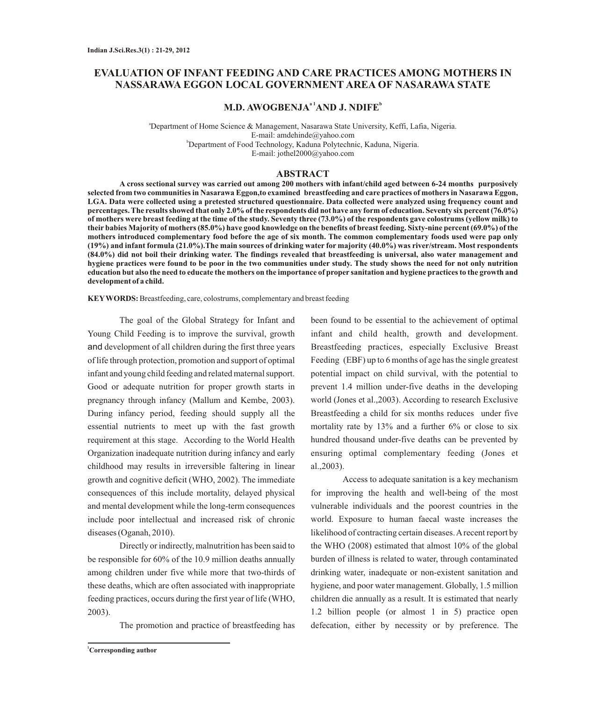# **EVALUATION OF INFANT FEEDING AND CARE PRACTICES AMONG MOTHERS IN NASSARAWA EGGON LOCAL GOVERNMENT AREA OF NASARAWA STATE**

# $M.D. AWOGBENJA<sup>a1</sup>AND J. NDIFE<sup>b</sup>$

<sup>a</sup>Department of Home Science & Management, Nasarawa State University, Keffi, Lafia, Nigeria. E-mail: amdehinde@yahoo.com <sup>b</sup>Department of Food Technology, Kaduna Polytechnic, Kaduna, Nigeria. E-mail: jothel2000@yahoo.com

## **ABSTRACT**

**A cross sectional survey was carried out among 200 mothers with infant/child aged between 6-24 months purposively selected from two communities in Nasarawa Eggon,to examined breastfeeding and care practices of mothers in Nasarawa Eggon, LGA. Data were collected using a pretested structured questionnaire. Data collected were analyzed using frequency count and percentages. The results showed that only 2.0% of the respondents did not have any form of education. Seventy six percent (76.0%) of mothers were breast feeding at the time of the study. Seventy three (73.0%) of the respondents gave colostrums (yellow milk) to their babies Majority of mothers (85.0%) have good knowledge on the benefits of breast feeding. Sixty-nine percent (69.0%) of the mothers introduced complementary food before the age of six month. The common complementary foods used were pap only (19%) and infant formula (21.0%).The main sources of drinking water for majority (40.0%) was river/stream. Most respondents (84.0%) did not boil their drinking water. The findings revealed that breastfeeding is universal, also water management and hygiene practices were found to be poor in the two communities under study. The study shows the need for not only nutrition education but also the need to educate the mothers on the importance of proper sanitation and hygiene practices to the growth and development of a child.**

**KEYWORDS:** Breastfeeding, care, colostrums, complementary and breast feeding

The goal of the Global Strategy for Infant and Young Child Feeding is to improve the survival, growth and development of all children during the first three years of life through protection, promotion and support of optimal infant and young child feeding and related maternal support. Good or adequate nutrition for proper growth starts in pregnancy through infancy (Mallum and Kembe, 2003). During infancy period, feeding should supply all the essential nutrients to meet up with the fast growth requirement at this stage. According to the World Health Organization inadequate nutrition during infancy and early childhood may results in irreversible faltering in linear growth and cognitive deficit (WHO, 2002). The immediate consequences of this include mortality, delayed physical and mental development while the long-term consequences include poor intellectual and increased risk of chronic diseases (Oganah, 2010).

Directly or indirectly, malnutrition has been said to be responsible for 60% of the 10.9 million deaths annually among children under five while more that two-thirds of these deaths, which are often associated with inappropriate feeding practices, occurs during the first year of life (WHO, 2003).

The promotion and practice of breastfeeding has

been found to be essential to the achievement of optimal infant and child health, growth and development. Breastfeeding practices, especially Exclusive Breast Feeding (EBF) up to 6 months of age has the single greatest potential impact on child survival, with the potential to prevent 1.4 million under-five deaths in the developing world (Jones et al.,2003). According to research Exclusive Breastfeeding a child for six months reduces under five mortality rate by 13% and a further 6% or close to six hundred thousand under-five deaths can be prevented by ensuring optimal complementary feeding (Jones et al.,2003).

Access to adequate sanitation is a key mechanism for improving the health and well-being of the most vulnerable individuals and the poorest countries in the world. Exposure to human faecal waste increases the likelihood of contracting certain diseases. Arecent report by the WHO (2008) estimated that almost 10% of the global burden of illness is related to water, through contaminated drinking water, inadequate or non-existent sanitation and hygiene, and poor water management. Globally, 1.5 million children die annually as a result. It is estimated that nearly 1.2 billion people (or almost 1 in 5) practice open defecation, either by necessity or by preference. The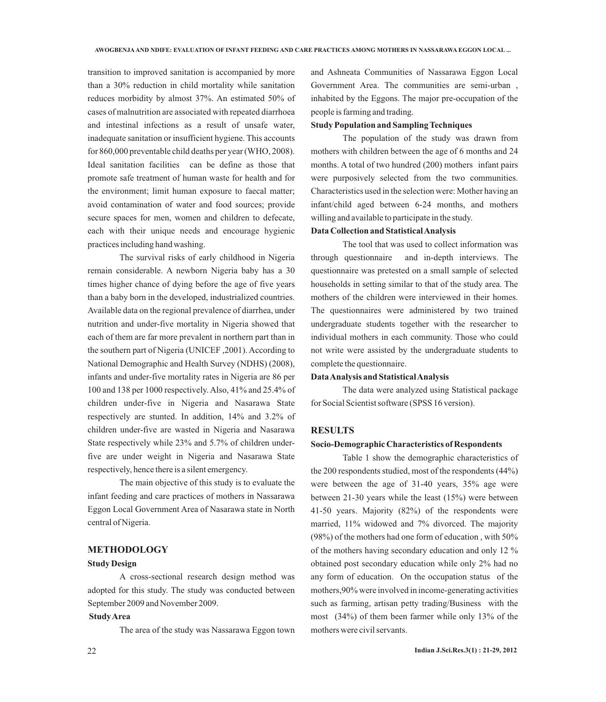transition to improved sanitation is accompanied by more than a 30% reduction in child mortality while sanitation reduces morbidity by almost 37%. An estimated 50% of cases of malnutrition are associated with repeated diarrhoea and intestinal infections as a result of unsafe water, inadequate sanitation or insufficient hygiene. This accounts for 860,000 preventable child deaths per year (WHO, 2008). Ideal sanitation facilities can be define as those that promote safe treatment of human waste for health and for the environment; limit human exposure to faecal matter; avoid contamination of water and food sources; provide secure spaces for men, women and children to defecate, each with their unique needs and encourage hygienic practices including hand washing.

The survival risks of early childhood in Nigeria remain considerable. A newborn Nigeria baby has a 30 times higher chance of dying before the age of five years than a baby born in the developed, industrialized countries. Available data on the regional prevalence of diarrhea, under nutrition and under-five mortality in Nigeria showed that each of them are far more prevalent in northern part than in the southern part of Nigeria (UNICEF ,2001). According to National Demographic and Health Survey (NDHS) (2008), infants and under-five mortality rates in Nigeria are 86 per 100 and 138 per 1000 respectively. Also, 41% and 25.4% of children under-five in Nigeria and Nasarawa State respectively are stunted. In addition, 14% and 3.2% of children under-five are wasted in Nigeria and Nasarawa State respectively while 23% and 5.7% of children underfive are under weight in Nigeria and Nasarawa State respectively, hence there is a silent emergency.

The main objective of this study is to evaluate the infant feeding and care practices of mothers in Nassarawa Eggon Local Government Area of Nasarawa state in North central of Nigeria.

# **METHODOLOGY**

#### **Study Design**

A cross-sectional research design method was adopted for this study. The study was conducted between September 2009 and November 2009.

#### **Study Area**

The area of the study was Nassarawa Eggon town

and Ashneata Communities of Nassarawa Eggon Local Government Area. The communities are semi-urban , inhabited by the Eggons. The major pre-occupation of the people is farming and trading.

## **Study Population and Sampling Techniques**

The population of the study was drawn from mothers with children between the age of 6 months and 24 months. A total of two hundred (200) mothers infant pairs were purposively selected from the two communities. Characteristics used in the selection were: Mother having an infant/child aged between 6-24 months, and mothers willing and available to participate in the study.

# **Data Collection and Statistical Analysis**

The tool that was used to collect information was through questionnaire and in-depth interviews. The questionnaire was pretested on a small sample of selected households in setting similar to that of the study area. The mothers of the children were interviewed in their homes. The questionnaires were administered by two trained undergraduate students together with the researcher to individual mothers in each community. Those who could not write were assisted by the undergraduate students to complete the questionnaire.

#### **Data Analysis and Statistical Analysis**

The data were analyzed using Statistical package for Social Scientist software (SPSS 16 version).

## **RESULTS**

#### **Socio-Demographic Characteristics of Respondents**

Table 1 show the demographic characteristics of the 200 respondents studied, most of the respondents (44%) were between the age of 31-40 years, 35% age were between 21-30 years while the least (15%) were between 41-50 years. Majority (82%) of the respondents were married, 11% widowed and 7% divorced. The majority (98%) of the mothers had one form of education , with 50% of the mothers having secondary education and only 12 % obtained post secondary education while only 2% had no any form of education. On the occupation status of the mothers,90% were involved in income-generating activities such as farming, artisan petty trading/Business with the most (34%) of them been farmer while only 13% of the mothers were civil servants.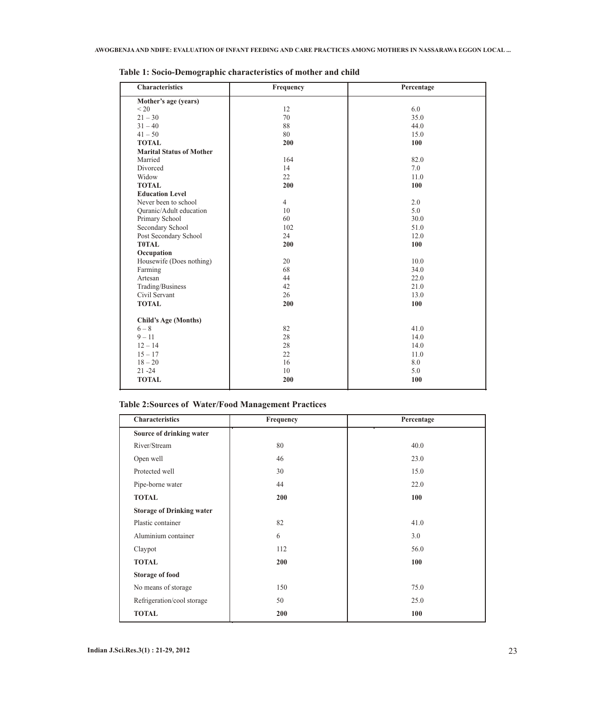| <b>Characteristics</b>          | Frequency      | Percentage |
|---------------------------------|----------------|------------|
| Mother's age (years)            |                |            |
| < 20                            | 12             | 6.0        |
| $21 - 30$                       | 70             | 35.0       |
| $31 - 40$                       | 88             | 44.0       |
| $41 - 50$                       | 80             | 15.0       |
| <b>TOTAL</b>                    | 200            | 100        |
| <b>Marital Status of Mother</b> |                |            |
| Married                         | 164            | 82.0       |
| Divorced                        | 14             | 7.0        |
| Widow                           | 22             | 11.0       |
| <b>TOTAL</b>                    | 200            | 100        |
| <b>Education Level</b>          |                |            |
| Never been to school            | $\overline{4}$ | 2.0        |
| Quranic/Adult education         | 10             | 5.0        |
| Primary School                  | 60             | 30.0       |
| Secondary School                | 102            | 51.0       |
| Post Secondary School           | 24             | 12.0       |
| <b>T0TAL</b>                    | 200            | 100        |
| Occupation                      |                |            |
| Housewife (Does nothing)        | 20             | 10.0       |
| Farming                         | 68             | 34.0       |
| Artesan                         | 44             | 22.0       |
| Trading/Business                | 42             | 21.0       |
| Civil Servant                   | 26             | 13.0       |
| <b>TOTAL</b>                    | 200            | 100        |
|                                 |                |            |
| <b>Child's Age (Months)</b>     |                |            |
| $6 - 8$                         | 82             | 41.0       |
| $9 - 11$                        | 28             | 14.0       |
| $12 - 14$                       | 28             | 14.0       |
| $15 - 17$                       | 22             | 11.0       |
| $18 - 20$                       | 16             | 8.0        |
| $21 - 24$                       | 10             | 5.0        |
| <b>TOTAL</b>                    | 200            | 100        |

**Table 1: Socio-Demographic characteristics of mother and child**

# **Table 2:Sources of Water/Food Management Practices**

| <b>Characteristics</b>           | Frequency  | Percentage |
|----------------------------------|------------|------------|
| Source of drinking water         |            |            |
| River/Stream                     | 80         | 40.0       |
| Open well                        | 46         | 23.0       |
| Protected well                   | 30         | 15.0       |
| Pipe-borne water                 | 44         | 22.0       |
| <b>TOTAL</b>                     | 200        | 100        |
| <b>Storage of Drinking water</b> |            |            |
| Plastic container                | 82         | 41.0       |
| Aluminium container              | 6          | 3.0        |
| Claypot                          | 112        | 56.0       |
| <b>TOTAL</b>                     | <b>200</b> | 100        |
| <b>Storage of food</b>           |            |            |
| No means of storage              | 150        | 75.0       |
| Refrigeration/cool storage       | 50         | 25.0       |
| <b>TOTAL</b>                     | 200        | 100        |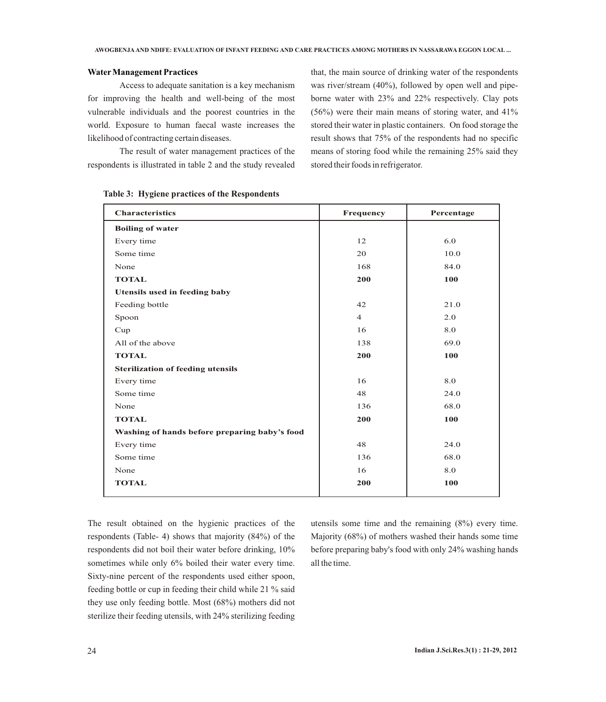# **WaterManagement Practices**

Access to adequate sanitation is a key mechanism for improving the health and well-being of the most vulnerable individuals and the poorest countries in the world. Exposure to human faecal waste increases the likelihood of contracting certain diseases.

The result of water management practices of the respondents is illustrated in table 2 and the study revealed

that, the main source of drinking water of the respondents was river/stream (40%), followed by open well and pipeborne water with 23% and 22% respectively. Clay pots (56%) were their main means of storing water, and 41% stored their water in plastic containers. On food storage the result shows that 75% of the respondents had no specific means of storing food while the remaining 25% said they stored their foods in refrigerator.

| <b>Characteristics</b>                        | Frequency      | Percentage |
|-----------------------------------------------|----------------|------------|
| <b>Boiling of water</b>                       |                |            |
| Every time                                    | 12             | 6.0        |
| Some time                                     | 20             | 10.0       |
| None                                          | 168            | 84.0       |
| <b>TOTAL</b>                                  | 200            | 100        |
| Utensils used in feeding baby                 |                |            |
| Feeding bottle                                | 42             | 21.0       |
| Spoon                                         | $\overline{4}$ | 2.0        |
| Cup                                           | 16             | 8.0        |
| All of the above                              | 138            | 69.0       |
| <b>TOTAL</b>                                  | 200            | 100        |
| <b>Sterilization of feeding utensils</b>      |                |            |
| Every time                                    | 16             | 8.0        |
| Some time                                     | 48             | 24.0       |
| None                                          | 136            | 68.0       |
| <b>TOTAL</b>                                  | 200            | 100        |
| Washing of hands before preparing baby's food |                |            |
| Every time                                    | 48             | 24.0       |
| Some time                                     | 136            | 68.0       |
| None                                          | 16             | 8.0        |
| <b>TOTAL</b>                                  | 200            | 100        |
|                                               |                |            |

**Table 3: Hygiene practices of the Respondents**

The result obtained on the hygienic practices of the respondents (Table- 4) shows that majority (84%) of the respondents did not boil their water before drinking, 10% sometimes while only 6% boiled their water every time. Sixty-nine percent of the respondents used either spoon, feeding bottle or cup in feeding their child while 21 % said they use only feeding bottle. Most (68%) mothers did not sterilize their feeding utensils, with 24% sterilizing feeding

utensils some time and the remaining (8%) every time. Majority (68%) of mothers washed their hands some time before preparing baby's food with only 24% washing hands all the time.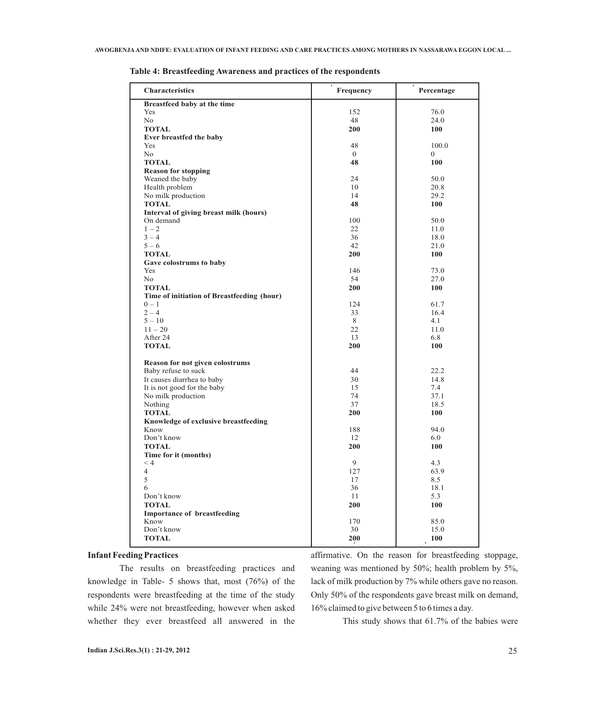| <b>Characteristics</b>                     | Frequency      | Percentage   |
|--------------------------------------------|----------------|--------------|
| Breastfeed baby at the time                |                |              |
| Yes                                        | 152            | 76.0         |
| No                                         | 48             | 24.0         |
| <b>TOTAL</b>                               | 200            | 100          |
| Ever breastfed the baby                    |                |              |
| Yes                                        | 48             | 100.0        |
| No                                         | $\overline{0}$ | $\mathbf{0}$ |
| <b>TOTAL</b>                               | 48             | 100          |
| <b>Reason for stopping</b>                 |                |              |
| Weaned the baby                            | 24             | 50.0         |
| Health problem                             | 10             | 20.8         |
| No milk production                         | 14             | 29.2         |
| <b>TOTAL</b>                               | 48             | 100          |
| Interval of giving breast milk (hours)     |                |              |
| On demand                                  | 100            | 50.0         |
| $1 - 2$                                    | 22             | 11.0         |
| $3 - 4$                                    | 36             | 18.0         |
| $5 - 6$                                    | 42             | 21.0         |
| <b>TOTAL</b>                               | 200            | 100          |
| Gave colostrums to baby                    |                |              |
| Yes                                        | 146            | 73.0         |
| N <sub>o</sub>                             | 54             | 27.0         |
| <b>TOTAL</b>                               | 200            | 100          |
| Time of initiation of Breastfeeding (hour) |                |              |
| $0 - 1$                                    | 124            | 61.7         |
| $2 - 4$                                    | 33             | 16.4         |
| $5 - 10$                                   | 8              | 4.1          |
| $11 - 20$                                  | 22             | 11.0         |
| After 24                                   | 13             | 6.8          |
| <b>TOTAL</b>                               | 200            | 100          |
| Reason for not given colostrums            |                |              |
| Baby refuse to suck                        | 44             | 22.2         |
| It causes diarrhea to baby                 | 30             | 14.8         |
| It is not good for the baby                | 15             | 7.4          |
| No milk production                         | 74             | 37.1         |
| Nothing                                    | 37             | 18.5         |
| <b>TOTAL</b>                               | 200            | 100          |
| Knowledge of exclusive breastfeeding       |                |              |
| Know                                       | 188            | 94.0         |
| Don't know                                 | 12             | 6.0          |
| <b>TOTAL</b>                               | 200            | <b>100</b>   |
| Time for it (months)                       |                |              |
| < 4                                        | 9              | 4.3          |
| 4                                          | 127            | 63.9         |
| 5                                          | 17             | 8.5          |
| 6                                          | 36             | 18.1         |
| Don't know                                 | 11             | 5.3          |
| <b>TOTAL</b>                               | 200            | 100          |
| <b>Importance of breastfeeding</b>         |                |              |
| Know                                       | 170            | 85.0         |
| Don't know                                 | 30             | 15.0         |
| <b>TOTAL</b>                               | 200            | 100          |

**Table 4: Breastfeeding Awareness and practices of the respondents**

# **Infant Feeding Practices**

The results on breastfeeding practices and knowledge in Table- 5 shows that, most (76%) of the respondents were breastfeeding at the time of the study while 24% were not breastfeeding, however when asked whether they ever breastfeed all answered in the affirmative. On the reason for breastfeeding stoppage, weaning was mentioned by 50%; health problem by 5%, lack of milk production by 7% while others gave no reason. Only 50% of the respondents gave breast milk on demand, 16% claimed to give between 5 to 6 times a day.

This study shows that 61.7% of the babies were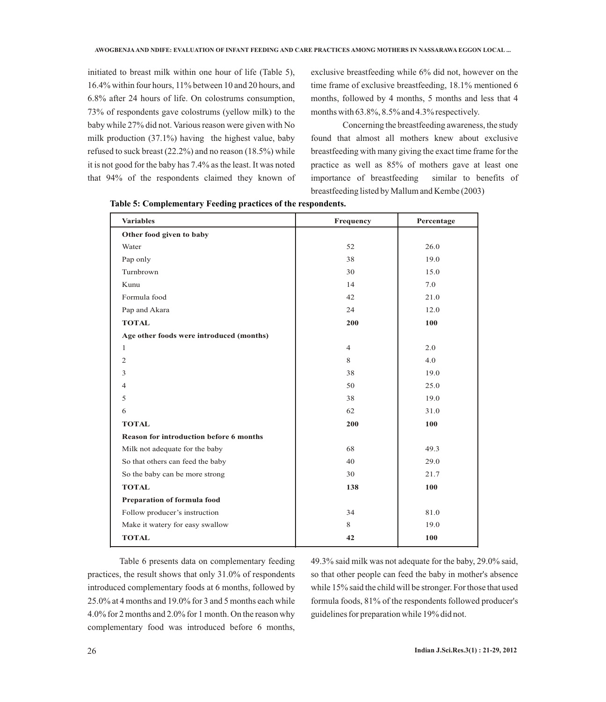initiated to breast milk within one hour of life (Table 5), 16.4% within four hours, 11% between 10 and 20 hours, and 6.8% after 24 hours of life. On colostrums consumption, 73% of respondents gave colostrums (yellow milk) to the baby while 27% did not. Various reason were given with No milk production (37.1%) having the highest value, baby refused to suck breast (22.2%) and no reason (18.5%) while it is not good for the baby has 7.4% as the least. It was noted that 94% of the respondents claimed they known of exclusive breastfeeding while 6% did not, however on the time frame of exclusive breastfeeding, 18.1% mentioned 6 months, followed by 4 months, 5 months and less that 4 months with 63.8%, 8.5% and 4.3% respectively.

Concerning the breastfeeding awareness, the study found that almost all mothers knew about exclusive breastfeeding with many giving the exact time frame for the practice as well as 85% of mothers gave at least one importance of breastfeeding similar to benefits of breastfeeding listed by Mallum and Kembe (2003)

| <b>Variables</b>                         | Frequency      | Percentage |
|------------------------------------------|----------------|------------|
| Other food given to baby                 |                |            |
| Water                                    | 52             | 26.0       |
| Pap only                                 | 38             | 19.0       |
| Turnbrown                                | 30             | 15.0       |
| Kunu                                     | 14             | 7.0        |
| Formula food                             | 42             | 21.0       |
| Pap and Akara                            | 24             | 12.0       |
| <b>TOTAL</b>                             | 200            | 100        |
| Age other foods were introduced (months) |                |            |
| $\mathbf{1}$                             | $\overline{4}$ | 2.0        |
| $\overline{2}$                           | 8              | 4.0        |
| 3                                        | 38             | 19.0       |
| $\overline{4}$                           | 50             | 25.0       |
| 5                                        | 38             | 19.0       |
| 6                                        | 62             | 31.0       |
| <b>TOTAL</b>                             | 200            | 100        |
| Reason for introduction before 6 months  |                |            |
| Milk not adequate for the baby           | 68             | 49.3       |
| So that others can feed the baby         | 40             | 29.0       |
| So the baby can be more strong           | 30             | 21.7       |
| <b>TOTAL</b>                             | 138            | 100        |
| Preparation of formula food              |                |            |
| Follow producer's instruction            | 34             | 81.0       |
| Make it watery for easy swallow          | 8              | 19.0       |
| <b>TOTAL</b>                             | 42             | 100        |

**Table 5: Complementary Feeding practices of the respondents.**

Table 6 presents data on complementary feeding practices, the result shows that only 31.0% of respondents introduced complementary foods at 6 months, followed by 25.0% at 4 months and 19.0% for 3 and 5 months each while 4.0% for 2 months and 2.0% for 1 month. On the reason why complementary food was introduced before 6 months,

49.3% said milk was not adequate for the baby, 29.0% said, so that other people can feed the baby in mother's absence while 15% said the child will be stronger. For those that used formula foods, 81% of the respondents followed producer's guidelines for preparation while 19% did not.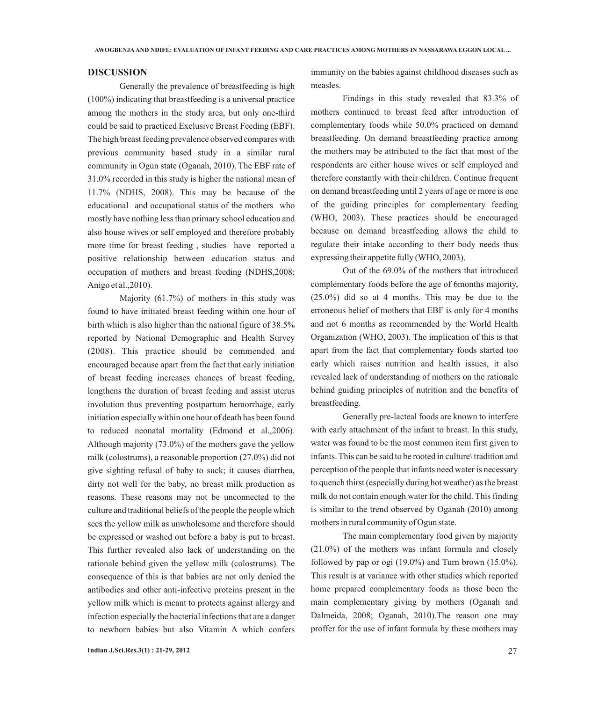# **DISCUSSION**

Generally the prevalence of breastfeeding is high (100%) indicating that breastfeeding is a universal practice among the mothers in the study area, but only one-third could be said to practiced Exclusive Breast Feeding (EBF). The high breast feeding prevalence observed compares with previous community based study in a similar rural community in Ogun state (Oganah, 2010). The EBF rate of 31.0% recorded in this study is higher the national mean of 11.7% (NDHS, 2008). This may be because of the educational and occupational status of the mothers who mostly have nothing less than primary school education and also house wives or self employed and therefore probably more time for breast feeding , studies have reported a positive relationship between education status and occupation of mothers and breast feeding (NDHS,2008; Anigo et al.,2010).

Majority (61.7%) of mothers in this study was found to have initiated breast feeding within one hour of birth which is also higher than the national figure of 38.5% reported by National Demographic and Health Survey (2008). This practice should be commended and encouraged because apart from the fact that early initiation of breast feeding increases chances of breast feeding, lengthens the duration of breast feeding and assist uterus involution thus preventing postpartum hemorrhage, early initiation especially within one hour of death has been found to reduced neonatal mortality (Edmond et al.,2006). Although majority (73.0%) of the mothers gave the yellow milk (colostrums), a reasonable proportion (27.0%) did not give sighting refusal of baby to suck; it causes diarrhea, dirty not well for the baby, no breast milk production as reasons. These reasons may not be unconnected to the culture and traditional beliefs of the people the people which sees the yellow milk as unwholesome and therefore should be expressed or washed out before a baby is put to breast. This further revealed also lack of understanding on the rationale behind given the yellow milk (colostrums). The consequence of this is that babies are not only denied the antibodies and other anti-infective proteins present in the yellow milk which is meant to protects against allergy and infection especially the bacterial infections that are a danger to newborn babies but also Vitamin A which confers

immunity on the babies against childhood diseases such as measles.

Findings in this study revealed that 83.3% of mothers continued to breast feed after introduction of complementary foods while 50.0% practiced on demand breastfeeding. On demand breastfeeding practice among the mothers may be attributed to the fact that most of the respondents are either house wives or self employed and therefore constantly with their children. Continue frequent on demand breastfeeding until 2 years of age or more is one of the guiding principles for complementary feeding (WHO, 2003). These practices should be encouraged because on demand breastfeeding allows the child to regulate their intake according to their body needs thus expressing their appetite fully (WHO, 2003).

Out of the 69.0% of the mothers that introduced complementary foods before the age of 6months majority, (25.0%) did so at 4 months. This may be due to the erroneous belief of mothers that EBF is only for 4 months and not 6 months as recommended by the World Health Organization (WHO, 2003). The implication of this is that apart from the fact that complementary foods started too early which raises nutrition and health issues, it also revealed lack of understanding of mothers on the rationale behind guiding principles of nutrition and the benefits of breastfeeding.

Generally pre-lacteal foods are known to interfere with early attachment of the infant to breast. In this study, water was found to be the most common item first given to infants. This can be said to be rooted in culture\ tradition and perception of the people that infants need water is necessary to quench thirst (especially during hot weather) as the breast milk do not contain enough water for the child. This finding is similar to the trend observed by Oganah (2010) among mothers in rural community of Ogun state.

The main complementary food given by majority (21.0%) of the mothers was infant formula and closely followed by pap or ogi  $(19.0\%)$  and Turn brown  $(15.0\%)$ . This result is at variance with other studies which reported home prepared complementary foods as those been the main complementary giving by mothers (Oganah and Dalmeida, 2008; Oganah, 2010).The reason one may proffer for the use of infant formula by these mothers may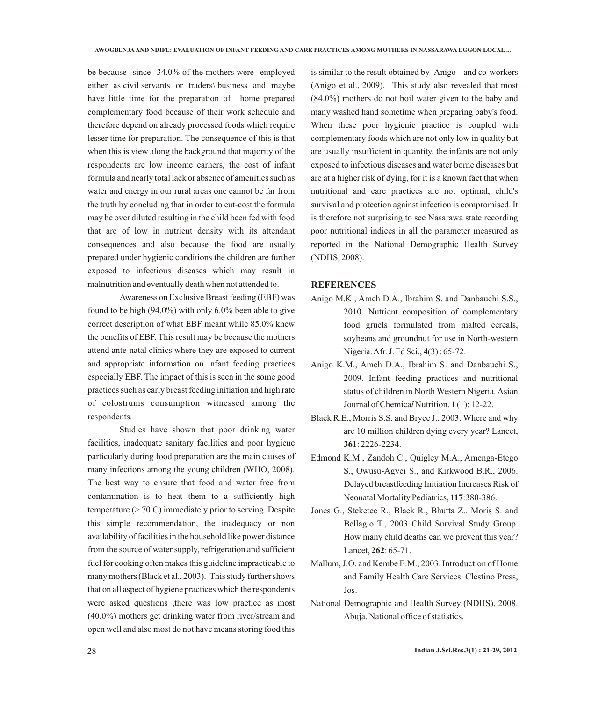be because since 34.0% of the mothers were employed either as civil servants or traders\ business and maybe have little time for the preparation of home prepared complementary food because of their work schedule and therefore depend on already processed foods which require lesser time for preparation. The consequence of this is that when this is view along the background that majority of the respondents are low income earners, the cost of infant formula and nearly total lack or absence of amenities such as water and energy in our rural areas one cannot be far from the truth by concluding that in order to cut-cost the formula may be over diluted resulting in the child been fed with food that are of low in nutrient density with its attendant consequences and also because the food are usually prepared under hygienic conditions the children are further exposed to infectious diseases which may result in malnutrition and eventually death when not attended to.

Awareness on Exclusive Breast feeding (EBF) was found to be high (94.0%) with only 6.0% been able to give correct description of what EBF meant while 85.0% knew the benefits of EBF. This result may be because the mothers attend ante-natal clinics where they are exposed to current and appropriate information on infant feeding practices especially EBF. The impact of this is seen in the some good practices such as early breast feeding initiation and high rate of colostrums consumption witnessed among the respondents.

Studies have shown that poor drinking water facilities, inadequate sanitary facilities and poor hygiene particularly during food preparation are the main causes of many infections among the young children (WHO, 2008). The best way to ensure that food and water free from contamination is to heat them to a sufficiently high temperature ( $> 70^{\circ}$ C) immediately prior to serving. Despite this simple recommendation, the inadequacy or non availability of facilities in the household like power distance from the source of water supply, refrigeration and sufficient fuel for cooking often makes this guideline impracticable to many mothers (Black et al., 2003). This study further shows that on all aspect of hygiene practices which the respondents were asked questions ,there was low practice as most (40.0%) mothers get drinking water from river/stream and open well and also most do not have means storing food this

is similar to the result obtained by Anigo and co-workers (Anigo et al., 2009). This study also revealed that most (84.0%) mothers do not boil water given to the baby and many washed hand sometime when preparing baby's food. When these poor hygienic practice is coupled with complementary foods which are not only low in quality but are usually insufficient in quantity, the infants are not only exposed to infectious diseases and water borne diseases but are at a higher risk of dying, for it is a known fact that when nutritional and care practices are not optimal, child's survival and protection against infection is compromised. It is therefore not surprising to see Nasarawa state recording poor nutritional indices in all the parameter measured as reported in the National Demographic Health Survey (NDHS, 2008).

## **REFERENCES**

- Anigo M.K., Ameh D.A., Ibrahim S. and Danbauchi S.S., 2010. Nutrient composition of complementary food gruels formulated from malted cereals, soybeans and groundnut for use in North-western Nigeria. Afr. J. Fd Sci., **4**(3) : 65-72.
- Anigo K.M., Ameh D.A., Ibrahim S. and Danbauchi S., 2009. Infant feeding practices and nutritional status of children in North Western Nigeria. Asian Journal of Chemica*l* Nutrition. **1** (1): 12-22.
- Black R.E., Morris S.S. and Bryce J., 2003. Where and why are 10 million children dying every year? Lancet, **361**: 2226-2234.
- Edmond K.M., Zandoh C., Quigley M.A., Amenga-Etego S., Owusu-Agyei S., and Kirkwood B.R., 2006. Delayed breastfeeding Initiation Increases Risk of Neonatal Mortality Pediatrics, **117**:380-386.
- Jones G., Steketee R., Black R., Bhutta Z.. Moris S. and Bellagio T., 2003 Child Survival Study Group. How many child deaths can we prevent this year? Lancet, **262**: 65-71.
- Mallum, J.O. and Kembe E.M., 2003. Introduction of Home and Family Health Care Services. Clestino Press, Jos.
- National Demographic and Health Survey (NDHS), 2008. Abuja. National office of statistics.